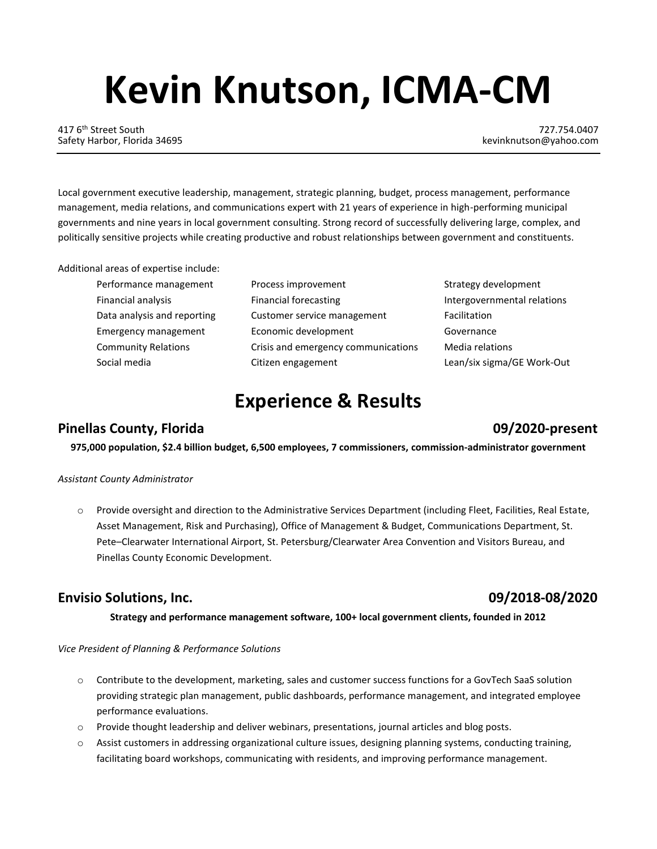# **Kevin Knutson, ICMA-CM**

417 6<sup>th</sup> Street South 727.754.0407<br>Safety Harbor, Florida 34695 **1989 12th Street South 727.754.0407** Safety Harbor, Florida 34695

Local government executive leadership, management, strategic planning, budget, process management, performance management, media relations, and communications expert with 21 years of experience in high-performing municipal governments and nine years in local government consulting. Strong record of successfully delivering large, complex, and politically sensitive projects while creating productive and robust relationships between government and constituents.

Additional areas of expertise include:

| Performance management      |
|-----------------------------|
| Financial analysis          |
| Data analysis and reporting |
| Emergency management        |
| <b>Community Relations</b>  |
| Social media                |

| Performance management      | Process improvement                 | Strategy dev  |
|-----------------------------|-------------------------------------|---------------|
| Financial analysis          | Financial forecasting               | Intergovern   |
| Data analysis and reporting | Customer service management         | Facilitation  |
| <b>Emergency management</b> | Economic development                | Governance    |
| <b>Community Relations</b>  | Crisis and emergency communications | Media relati  |
| Social media                | Citizen engagement                  | Lean/six sign |

Strategy development Intergovernmental relations **Media relations** Lean/six sigma/GE Work-Out

## **Experience & Results**

## **Pinellas County, Florida 09/2020-present**

**975,000 population, \$2.4 billion budget, 6,500 employees, 7 commissioners, commission-administrator government**

### *Assistant County Administrator*

o Provide oversight and direction to the Administrative Services Department (including Fleet, Facilities, Real Estate, Asset Management, Risk and Purchasing), Office of Management & Budget, Communications Department, St. Pete–Clearwater International Airport, St. Petersburg/Clearwater Area Convention and Visitors Bureau, and Pinellas County Economic Development.

### **Envisio Solutions, Inc. 09/2018-08/2020**

**Strategy and performance management software, 100+ local government clients, founded in 2012**

*Vice President of Planning & Performance Solutions*

- o Contribute to the development, marketing, sales and customer success functions for a GovTech SaaS solution providing strategic plan management, public dashboards, performance management, and integrated employee performance evaluations.
- o Provide thought leadership and deliver webinars, presentations, journal articles and blog posts.
- o Assist customers in addressing organizational culture issues, designing planning systems, conducting training, facilitating board workshops, communicating with residents, and improving performance management.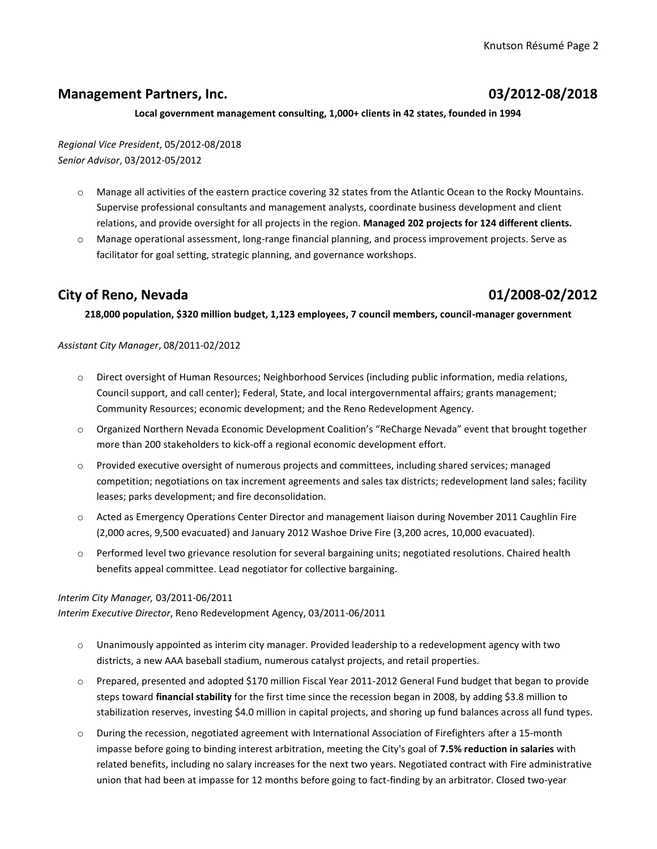### **Management Partners, Inc. 03/2012-08/2018**

#### **Local government management consulting, 1,000+ clients in 42 states, founded in 1994**

*Regional Vice President*, 05/2012-08/2018 *Senior Advisor*, 03/2012-05/2012

- o Manage all activities of the eastern practice covering 32 states from the Atlantic Ocean to the Rocky Mountains. Supervise professional consultants and management analysts, coordinate business development and client relations, and provide oversight for all projects in the region. **Managed 202 projects for 124 different clients.**
- o Manage operational assessment, long-range financial planning, and process improvement projects. Serve as facilitator for goal setting, strategic planning, and governance workshops.

### **City of Reno, Nevada 01/2008-02/2012**

**218,000 population, \$320 million budget, 1,123 employees, 7 council members, council-manager government**

### *Assistant City Manager*, 08/2011-02/2012

- o Direct oversight of Human Resources; Neighborhood Services (including public information, media relations, Council support, and call center); Federal, State, and local intergovernmental affairs; grants management; Community Resources; economic development; and the Reno Redevelopment Agency.
- o Organized Northern Nevada Economic Development Coalition's "ReCharge Nevada" event that brought together more than 200 stakeholders to kick-off a regional economic development effort.
- o Provided executive oversight of numerous projects and committees, including shared services; managed competition; negotiations on tax increment agreements and sales tax districts; redevelopment land sales; facility leases; parks development; and fire deconsolidation.
- o Acted as Emergency Operations Center Director and management liaison during November 2011 Caughlin Fire (2,000 acres, 9,500 evacuated) and January 2012 Washoe Drive Fire (3,200 acres, 10,000 evacuated).
- o Performed level two grievance resolution for several bargaining units; negotiated resolutions. Chaired health benefits appeal committee. Lead negotiator for collective bargaining.

### *Interim City Manager,* 03/2011-06/2011

*Interim Executive Director*, Reno Redevelopment Agency, 03/2011-06/2011

- $\circ$  Unanimously appointed as interim city manager. Provided leadership to a redevelopment agency with two districts, a new AAA baseball stadium, numerous catalyst projects, and retail properties.
- o Prepared, presented and adopted \$170 million Fiscal Year 2011-2012 General Fund budget that began to provide steps toward **financial stability** for the first time since the recession began in 2008, by adding \$3.8 million to stabilization reserves, investing \$4.0 million in capital projects, and shoring up fund balances across all fund types.
- o During the recession, negotiated agreement with International Association of Firefighters after a 15-month impasse before going to binding interest arbitration, meeting the City's goal of **7.5% reduction in salaries** with related benefits, including no salary increases for the next two years. Negotiated contract with Fire administrative union that had been at impasse for 12 months before going to fact-finding by an arbitrator. Closed two-year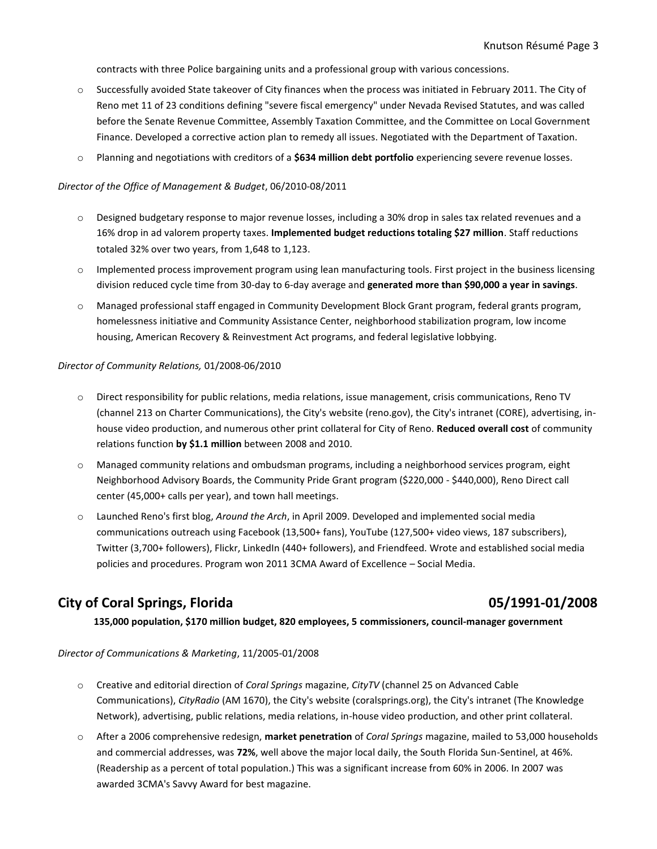contracts with three Police bargaining units and a professional group with various concessions.

- o Successfully avoided State takeover of City finances when the process was initiated in February 2011. The City of Reno met 11 of 23 conditions defining "severe fiscal emergency" under Nevada Revised Statutes, and was called before the Senate Revenue Committee, Assembly Taxation Committee, and the Committee on Local Government Finance. Developed a corrective action plan to remedy all issues. Negotiated with the Department of Taxation.
- o Planning and negotiations with creditors of a **\$634 million debt portfolio** experiencing severe revenue losses.

#### *Director of the Office of Management & Budget*, 06/2010-08/2011

- o Designed budgetary response to major revenue losses, including a 30% drop in sales tax related revenues and a 16% drop in ad valorem property taxes. **Implemented budget reductions totaling \$27 million**. Staff reductions totaled 32% over two years, from 1,648 to 1,123.
- o Implemented process improvement program using lean manufacturing tools. First project in the business licensing division reduced cycle time from 30-day to 6-day average and **generated more than \$90,000 a year in savings**.
- o Managed professional staff engaged in Community Development Block Grant program, federal grants program, homelessness initiative and Community Assistance Center, neighborhood stabilization program, low income housing, American Recovery & Reinvestment Act programs, and federal legislative lobbying.

#### *Director of Community Relations,* 01/2008-06/2010

- o Direct responsibility for public relations, media relations, issue management, crisis communications, Reno TV (channel 213 on Charter Communications), the City's website (reno.gov), the City's intranet (CORE), advertising, inhouse video production, and numerous other print collateral for City of Reno. **Reduced overall cost** of community relations function **by \$1.1 million** between 2008 and 2010.
- o Managed community relations and ombudsman programs, including a neighborhood services program, eight Neighborhood Advisory Boards, the Community Pride Grant program (\$220,000 - \$440,000), Reno Direct call center (45,000+ calls per year), and town hall meetings.
- o Launched Reno's first blog, *Around the Arch*, in April 2009. Developed and implemented social media communications outreach using Facebook (13,500+ fans), YouTube (127,500+ video views, 187 subscribers), Twitter (3,700+ followers), Flickr, LinkedIn (440+ followers), and Friendfeed. Wrote and established social media policies and procedures. Program won 2011 3CMA Award of Excellence – Social Media.

### **City of Coral Springs, Florida 05/1991-01/2008**

**135,000 population, \$170 million budget, 820 employees, 5 commissioners, council-manager government**

*Director of Communications & Marketing*, 11/2005-01/2008

- o Creative and editorial direction of *Coral Springs* magazine, *CityTV* (channel 25 on Advanced Cable Communications), *CityRadio* (AM 1670), the City's website (coralsprings.org), the City's intranet (The Knowledge Network), advertising, public relations, media relations, in-house video production, and other print collateral.
- o After a 2006 comprehensive redesign, **market penetration** of *Coral Springs* magazine, mailed to 53,000 households and commercial addresses, was **72%**, well above the major local daily, the South Florida Sun-Sentinel, at 46%. (Readership as a percent of total population.) This was a significant increase from 60% in 2006. In 2007 was awarded 3CMA's Savvy Award for best magazine.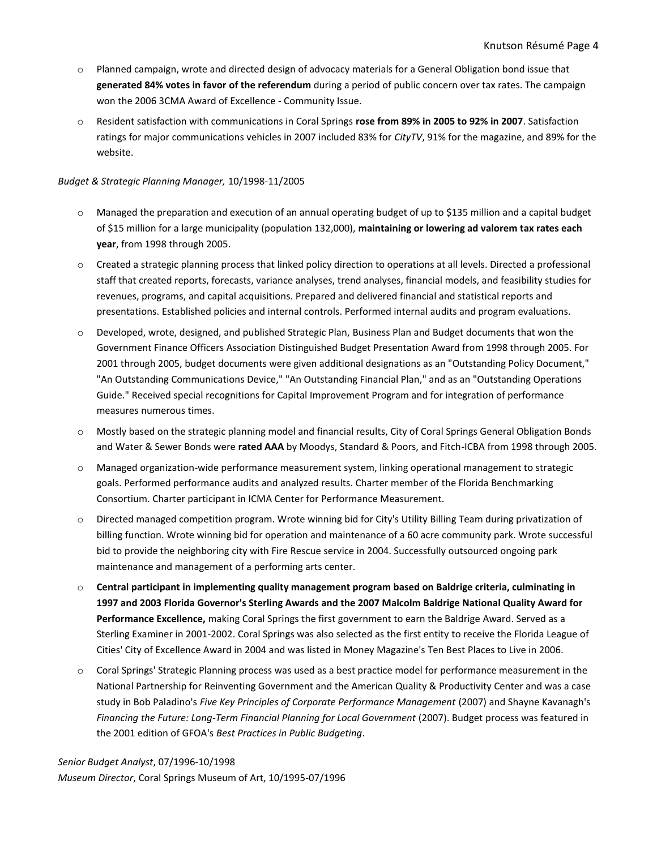- o Planned campaign, wrote and directed design of advocacy materials for a General Obligation bond issue that **generated 84% votes in favor of the referendum** during a period of public concern over tax rates. The campaign won the 2006 3CMA Award of Excellence - Community Issue.
- o Resident satisfaction with communications in Coral Springs **rose from 89% in 2005 to 92% in 2007**. Satisfaction ratings for major communications vehicles in 2007 included 83% for *CityTV*, 91% for the magazine, and 89% for the website.

#### *Budget & Strategic Planning Manager,* 10/1998-11/2005

- o Managed the preparation and execution of an annual operating budget of up to \$135 million and a capital budget of \$15 million for a large municipality (population 132,000), **maintaining or lowering ad valorem tax rates each year**, from 1998 through 2005.
- o Created a strategic planning process that linked policy direction to operations at all levels. Directed a professional staff that created reports, forecasts, variance analyses, trend analyses, financial models, and feasibility studies for revenues, programs, and capital acquisitions. Prepared and delivered financial and statistical reports and presentations. Established policies and internal controls. Performed internal audits and program evaluations.
- o Developed, wrote, designed, and published Strategic Plan, Business Plan and Budget documents that won the Government Finance Officers Association Distinguished Budget Presentation Award from 1998 through 2005. For 2001 through 2005, budget documents were given additional designations as an "Outstanding Policy Document," "An Outstanding Communications Device," "An Outstanding Financial Plan," and as an "Outstanding Operations Guide." Received special recognitions for Capital Improvement Program and for integration of performance measures numerous times.
- o Mostly based on the strategic planning model and financial results, City of Coral Springs General Obligation Bonds and Water & Sewer Bonds were **rated AAA** by Moodys, Standard & Poors, and Fitch-ICBA from 1998 through 2005.
- o Managed organization-wide performance measurement system, linking operational management to strategic goals. Performed performance audits and analyzed results. Charter member of the Florida Benchmarking Consortium. Charter participant in ICMA Center for Performance Measurement.
- Directed managed competition program. Wrote winning bid for City's Utility Billing Team during privatization of billing function. Wrote winning bid for operation and maintenance of a 60 acre community park. Wrote successful bid to provide the neighboring city with Fire Rescue service in 2004. Successfully outsourced ongoing park maintenance and management of a performing arts center.
- o **Central participant in implementing quality management program based on Baldrige criteria, culminating in 1997 and 2003 Florida Governor's Sterling Awards and the 2007 Malcolm Baldrige National Quality Award for Performance Excellence,** making Coral Springs the first government to earn the Baldrige Award. Served as a Sterling Examiner in 2001-2002. Coral Springs was also selected as the first entity to receive the Florida League of Cities' City of Excellence Award in 2004 and was listed in Money Magazine's Ten Best Places to Live in 2006.
- o Coral Springs' Strategic Planning process was used as a best practice model for performance measurement in the National Partnership for Reinventing Government and the American Quality & Productivity Center and was a case study in Bob Paladino's *Five Key Principles of Corporate Performance Management* (2007) and Shayne Kavanagh's *Financing the Future: Long-Term Financial Planning for Local Government* (2007). Budget process was featured in the 2001 edition of GFOA's *Best Practices in Public Budgeting*.

*Senior Budget Analyst*, 07/1996-10/1998 *Museum Director*, Coral Springs Museum of Art, 10/1995-07/1996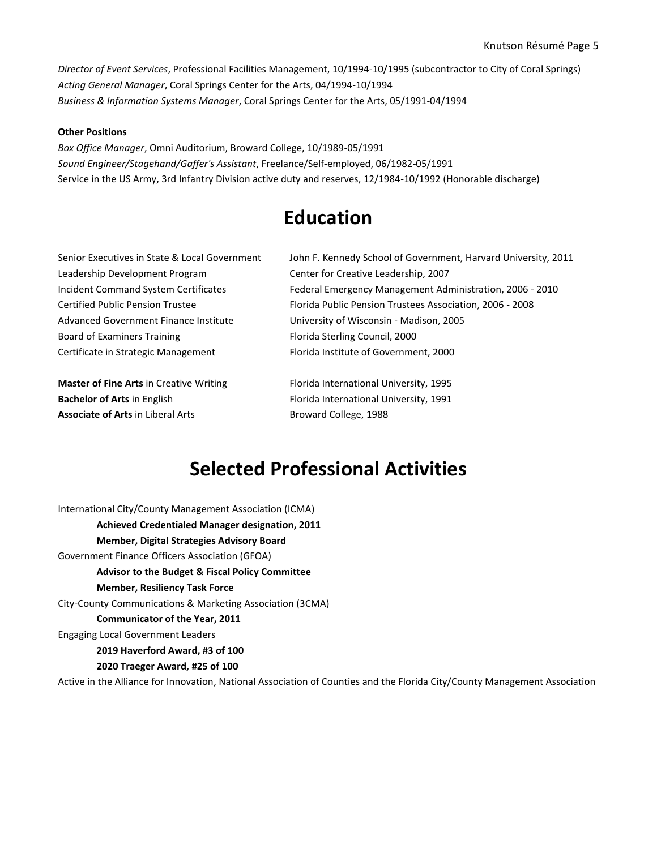*Director of Event Services*, Professional Facilities Management, 10/1994-10/1995 (subcontractor to City of Coral Springs) *Acting General Manager*, Coral Springs Center for the Arts, 04/1994-10/1994 *Business & Information Systems Manager*, Coral Springs Center for the Arts, 05/1991-04/1994

#### **Other Positions**

*Box Office Manager*, Omni Auditorium, Broward College, 10/1989-05/1991 *Sound Engineer/Stagehand/Gaffer's Assistant*, Freelance/Self-employed, 06/1982-05/1991 Service in the US Army, 3rd Infantry Division active duty and reserves, 12/1984-10/1992 (Honorable discharge)

## **Education**

Leadership Development Program Center for Creative Leadership, 2007 Advanced Government Finance Institute University of Wisconsin - Madison, 2005 Board of Examiners Training Florida Sterling Council, 2000

**Master of Fine Arts** in Creative Writing Florida International University, 1995 **Bachelor of Arts** in English Florida International University, 1991 Associate of Arts in Liberal Arts **Broward College**, 1988

Senior Executives in State & Local Government John F. Kennedy School of Government, Harvard University, 2011 Incident Command System Certificates Federal Emergency Management Administration, 2006 - 2010 Certified Public Pension Trustee Florida Public Pension Trustees Association, 2006 - 2008 Certificate in Strategic Management Florida Institute of Government, 2000

## **Selected Professional Activities**

International City/County Management Association (ICMA) **Achieved Credentialed Manager designation, 2011 Member, Digital Strategies Advisory Board** Government Finance Officers Association (GFOA) **Advisor to the Budget & Fiscal Policy Committee Member, Resiliency Task Force** City-County Communications & Marketing Association (3CMA) **Communicator of the Year, 2011** Engaging Local Government Leaders **2019 Haverford Award, #3 of 100 2020 Traeger Award, #25 of 100**

Active in the Alliance for Innovation, National Association of Counties and the Florida City/County Management Association